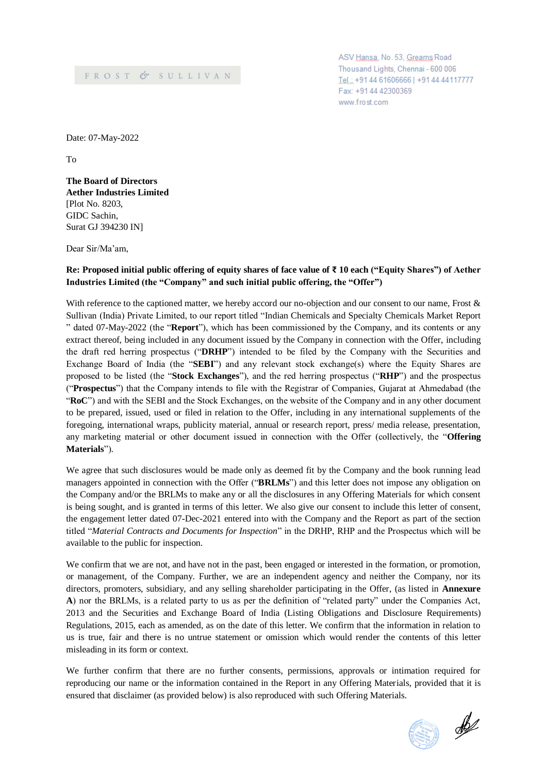ASV Hansa, No. 53, Greams Road Thousand Lights, Chennai - 600 006 Tel.: +91 44 61606666 | +91 44 44117777 Fax: +91 44 42300369 www.frost.com

Date: 07-May-2022

To

**The Board of Directors Aether Industries Limited** [Plot No. 8203, GIDC Sachin, Surat GJ 394230 IN]

Dear Sir/Ma'am,

# **Re: Proposed initial public offering of equity shares of face value of ₹ 10 each ("Equity Shares") of Aether Industries Limited (the "Company" and such initial public offering, the "Offer")**

With reference to the captioned matter, we hereby accord our no-objection and our consent to our name, Frost & Sullivan (India) Private Limited, to our report titled "Indian Chemicals and Specialty Chemicals Market Report " dated 07-May-2022 (the "**Report**"), which has been commissioned by the Company, and its contents or any extract thereof, being included in any document issued by the Company in connection with the Offer, including the draft red herring prospectus ("**DRHP**") intended to be filed by the Company with the Securities and Exchange Board of India (the "**SEBI**") and any relevant stock exchange(s) where the Equity Shares are proposed to be listed (the "**Stock Exchanges**"), and the red herring prospectus ("**RHP**") and the prospectus ("**Prospectus**") that the Company intends to file with the Registrar of Companies, Gujarat at Ahmedabad (the "**RoC**") and with the SEBI and the Stock Exchanges, on the website of the Company and in any other document to be prepared, issued, used or filed in relation to the Offer, including in any international supplements of the foregoing, international wraps, publicity material, annual or research report, press/ media release, presentation, any marketing material or other document issued in connection with the Offer (collectively, the "**Offering Materials**").

We agree that such disclosures would be made only as deemed fit by the Company and the book running lead managers appointed in connection with the Offer ("**BRLMs**") and this letter does not impose any obligation on the Company and/or the BRLMs to make any or all the disclosures in any Offering Materials for which consent is being sought, and is granted in terms of this letter. We also give our consent to include this letter of consent, the engagement letter dated 07-Dec-2021 entered into with the Company and the Report as part of the section titled "*Material Contracts and Documents for Inspection*" in the DRHP, RHP and the Prospectus which will be available to the public for inspection.

We confirm that we are not, and have not in the past, been engaged or interested in the formation, or promotion, or management, of the Company. Further, we are an independent agency and neither the Company, nor its directors, promoters, subsidiary, and any selling shareholder participating in the Offer, (as listed in **Annexure A**) nor the BRLMs, is a related party to us as per the definition of "related party" under the Companies Act, 2013 and the Securities and Exchange Board of India (Listing Obligations and Disclosure Requirements) Regulations, 2015, each as amended, as on the date of this letter. We confirm that the information in relation to us is true, fair and there is no untrue statement or omission which would render the contents of this letter misleading in its form or context.

We further confirm that there are no further consents, permissions, approvals or intimation required for reproducing our name or the information contained in the Report in any Offering Materials, provided that it is ensured that disclaimer (as provided below) is also reproduced with such Offering Materials.

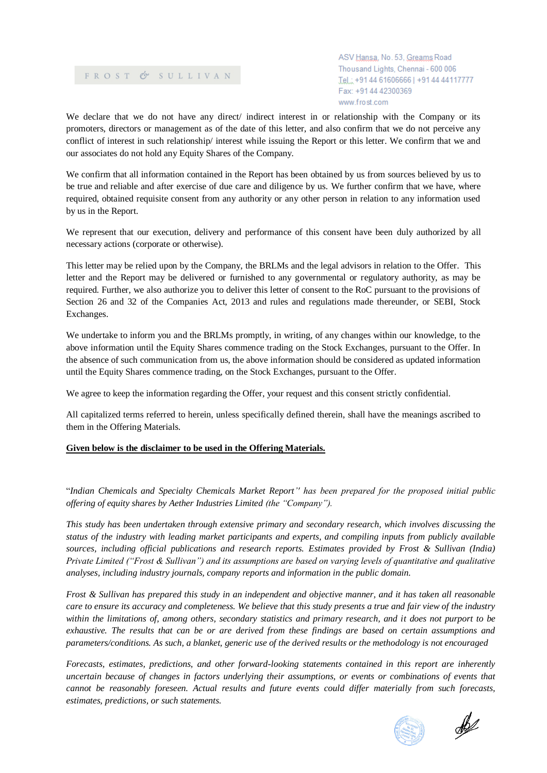ASV Hansa, No. 53, Greams Road Thousand Lights, Chennai - 600 006 Tel.: +91 44 61606666 | +91 44 44117777 Fax: +91 44 42300369 www.frost.com

We declare that we do not have any direct/ indirect interest in or relationship with the Company or its promoters, directors or management as of the date of this letter, and also confirm that we do not perceive any conflict of interest in such relationship/ interest while issuing the Report or this letter. We confirm that we and our associates do not hold any Equity Shares of the Company.

We confirm that all information contained in the Report has been obtained by us from sources believed by us to be true and reliable and after exercise of due care and diligence by us. We further confirm that we have, where required, obtained requisite consent from any authority or any other person in relation to any information used by us in the Report.

We represent that our execution, delivery and performance of this consent have been duly authorized by all necessary actions (corporate or otherwise).

This letter may be relied upon by the Company, the BRLMs and the legal advisors in relation to the Offer. This letter and the Report may be delivered or furnished to any governmental or regulatory authority, as may be required. Further, we also authorize you to deliver this letter of consent to the RoC pursuant to the provisions of Section 26 and 32 of the Companies Act, 2013 and rules and regulations made thereunder, or SEBI, Stock Exchanges.

We undertake to inform you and the BRLMs promptly, in writing, of any changes within our knowledge, to the above information until the Equity Shares commence trading on the Stock Exchanges, pursuant to the Offer. In the absence of such communication from us, the above information should be considered as updated information until the Equity Shares commence trading, on the Stock Exchanges, pursuant to the Offer.

We agree to keep the information regarding the Offer, your request and this consent strictly confidential.

All capitalized terms referred to herein, unless specifically defined therein, shall have the meanings ascribed to them in the Offering Materials.

# **Given below is the disclaimer to be used in the Offering Materials.**

"*Indian Chemicals and Specialty Chemicals Market Report'' has been prepared for the proposed initial public offering of equity shares by Aether Industries Limited (the "Company").*

*This study has been undertaken through extensive primary and secondary research, which involves discussing the status of the industry with leading market participants and experts, and compiling inputs from publicly available sources, including official publications and research reports. Estimates provided by Frost & Sullivan (India) Private Limited ("Frost & Sullivan") and its assumptions are based on varying levels of quantitative and qualitative analyses, including industry journals, company reports and information in the public domain.*

*Frost & Sullivan has prepared this study in an independent and objective manner, and it has taken all reasonable care to ensure its accuracy and completeness. We believe that this study presents a true and fair view of the industry within the limitations of, among others, secondary statistics and primary research, and it does not purport to be exhaustive. The results that can be or are derived from these findings are based on certain assumptions and parameters/conditions. As such, a blanket, generic use of the derived results or the methodology is not encouraged*

*Forecasts, estimates, predictions, and other forward-looking statements contained in this report are inherently uncertain because of changes in factors underlying their assumptions, or events or combinations of events that cannot be reasonably foreseen. Actual results and future events could differ materially from such forecasts, estimates, predictions, or such statements.*



 $\mathscr{B}$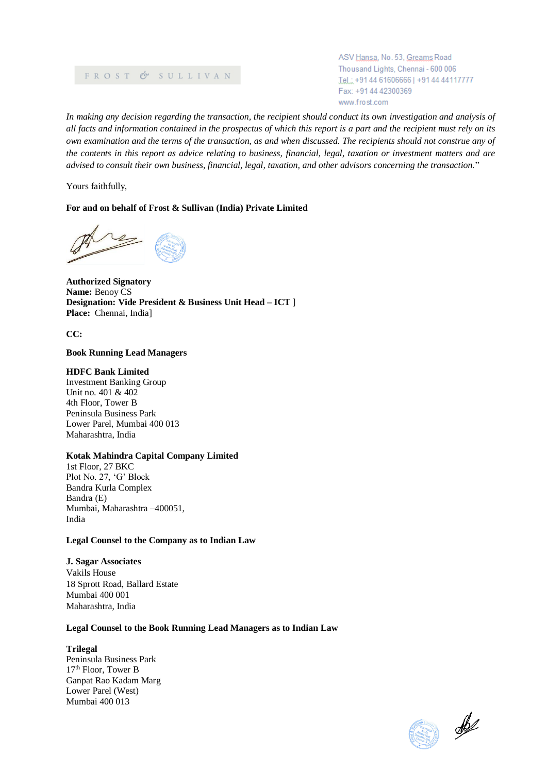ASV Hansa, No. 53, Greams Road Thousand Lights, Chennai - 600 006 Tel.: +91 44 61606666 | +91 44 44117777 Fax: +91 44 42300369 www.frost.com

*In making any decision regarding the transaction, the recipient should conduct its own investigation and analysis of all facts and information contained in the prospectus of which this report is a part and the recipient must rely on its own examination and the terms of the transaction, as and when discussed. The recipients should not construe any of the contents in this report as advice relating to business, financial, legal, taxation or investment matters and are advised to consult their own business, financial, legal, taxation, and other advisors concerning the transaction.*"

Yours faithfully,

#### **For and on behalf of Frost & Sullivan (India) Private Limited**

**Authorized Signatory Name:** Benoy CS **Designation: Vide President & Business Unit Head – ICT** ] **Place:** Chennai, India]

**CC:**

#### **Book Running Lead Managers**

#### **HDFC Bank Limited**

Investment Banking Group Unit no. 401 & 402 4th Floor, Tower B Peninsula Business Park Lower Parel, Mumbai 400 013 Maharashtra, India

#### **Kotak Mahindra Capital Company Limited**

1st Floor, 27 BKC Plot No. 27, 'G' Block Bandra Kurla Complex Bandra (E) Mumbai, Maharashtra –400051, India

#### **Legal Counsel to the Company as to Indian Law**

**J. Sagar Associates** Vakils House 18 Sprott Road, Ballard Estate Mumbai 400 001 Maharashtra, India

#### **Legal Counsel to the Book Running Lead Managers as to Indian Law**

### **Trilegal**

Peninsula Business Park 17th Floor, Tower B Ganpat Rao Kadam Marg Lower Parel (West) Mumbai 400 013

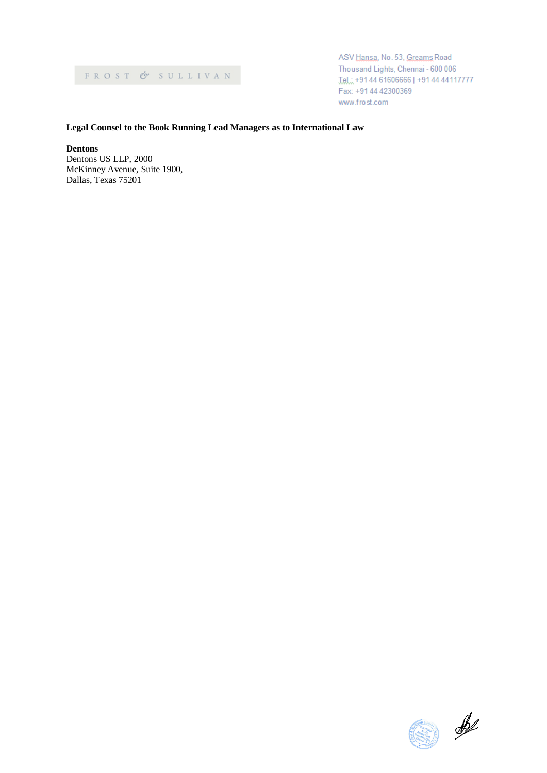ASV Hansa, No. 53, Greams Road Thousand Lights, Chennai - 600 006 Tel.: +91 44 61606666 | +91 44 44117777 Fax: +91 44 42300369 www.frost.com

## **Legal Counsel to the Book Running Lead Managers as to International Law**

**Dentons**

Dentons US LLP, 2000 McKinney Avenue, Suite 1900, Dallas, Texas 75201